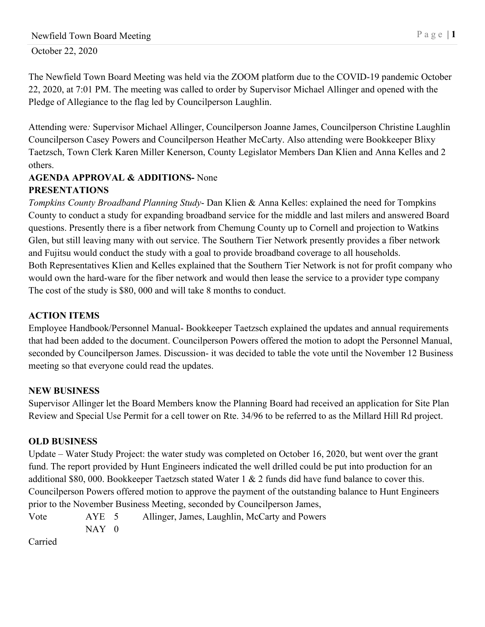October 22, 2020

The Newfield Town Board Meeting was held via the ZOOM platform due to the COVID-19 pandemic October 22, 2020, at 7:01 PM. The meeting was called to order by Supervisor Michael Allinger and opened with the Pledge of Allegiance to the flag led by Councilperson Laughlin.

Attending were*:* Supervisor Michael Allinger, Councilperson Joanne James, Councilperson Christine Laughlin Councilperson Casey Powers and Councilperson Heather McCarty. Also attending were Bookkeeper Blixy Taetzsch, Town Clerk Karen Miller Kenerson, County Legislator Members Dan Klien and Anna Kelles and 2 others.

## **AGENDA APPROVAL & ADDITIONS-** None **PRESENTATIONS**

*Tompkins County Broadband Planning Study*- Dan Klien & Anna Kelles: explained the need for Tompkins County to conduct a study for expanding broadband service for the middle and last milers and answered Board questions. Presently there is a fiber network from Chemung County up to Cornell and projection to Watkins Glen, but still leaving many with out service. The Southern Tier Network presently provides a fiber network and Fujitsu would conduct the study with a goal to provide broadband coverage to all households. Both Representatives Klien and Kelles explained that the Southern Tier Network is not for profit company who would own the hard-ware for the fiber network and would then lease the service to a provider type company The cost of the study is \$80, 000 and will take 8 months to conduct.

## **ACTION ITEMS**

Employee Handbook/Personnel Manual- Bookkeeper Taetzsch explained the updates and annual requirements that had been added to the document. Councilperson Powers offered the motion to adopt the Personnel Manual, seconded by Councilperson James. Discussion- it was decided to table the vote until the November 12 Business meeting so that everyone could read the updates.

## **NEW BUSINESS**

Supervisor Allinger let the Board Members know the Planning Board had received an application for Site Plan Review and Special Use Permit for a cell tower on Rte. 34/96 to be referred to as the Millard Hill Rd project.

## **OLD BUSINESS**

Update – Water Study Project: the water study was completed on October 16, 2020, but went over the grant fund. The report provided by Hunt Engineers indicated the well drilled could be put into production for an additional \$80, 000. Bookkeeper Taetzsch stated Water 1 & 2 funds did have fund balance to cover this. Councilperson Powers offered motion to approve the payment of the outstanding balance to Hunt Engineers prior to the November Business Meeting, seconded by Councilperson James,

Vote AYE 5 Allinger, James, Laughlin, McCarty and Powers  $NAY$  0

Carried